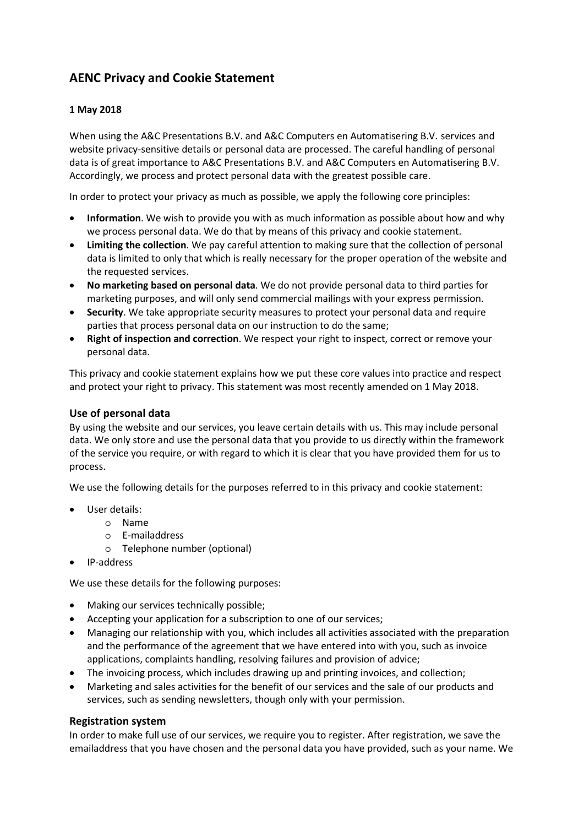# **AENC Privacy and Cookie Statement**

## **1 May 2018**

When using the A&C Presentations B.V. and A&C Computers en Automatisering B.V. services and website privacy-sensitive details or personal data are processed. The careful handling of personal data is of great importance to A&C Presentations B.V. and A&C Computers en Automatisering B.V. Accordingly, we process and protect personal data with the greatest possible care.

In order to protect your privacy as much as possible, we apply the following core principles:

- **Information**. We wish to provide you with as much information as possible about how and why we process personal data. We do that by means of this privacy and cookie statement.
- **Limiting the collection**. We pay careful attention to making sure that the collection of personal data is limited to only that which is really necessary for the proper operation of the website and the requested services.
- **No marketing based on personal data**. We do not provide personal data to third parties for marketing purposes, and will only send commercial mailings with your express permission.
- **Security**. We take appropriate security measures to protect your personal data and require parties that process personal data on our instruction to do the same;
- **Right of inspection and correction**. We respect your right to inspect, correct or remove your personal data.

This privacy and cookie statement explains how we put these core values into practice and respect and protect your right to privacy. This statement was most recently amended on 1 May 2018.

# **Use of personal data**

By using the website and our services, you leave certain details with us. This may include personal data. We only store and use the personal data that you provide to us directly within the framework of the service you require, or with regard to which it is clear that you have provided them for us to process.

We use the following details for the purposes referred to in this privacy and cookie statement:

- User details:
	- o Name
	- o E-mailaddress
	- o Telephone number (optional)
- IP-address

We use these details for the following purposes:

- Making our services technically possible;
- Accepting your application for a subscription to one of our services;
- Managing our relationship with you, which includes all activities associated with the preparation and the performance of the agreement that we have entered into with you, such as invoice applications, complaints handling, resolving failures and provision of advice;
- The invoicing process, which includes drawing up and printing invoices, and collection;
- Marketing and sales activities for the benefit of our services and the sale of our products and services, such as sending newsletters, though only with your permission.

## **Registration system**

In order to make full use of our services, we require you to register. After registration, we save the emailaddress that you have chosen and the personal data you have provided, such as your name. We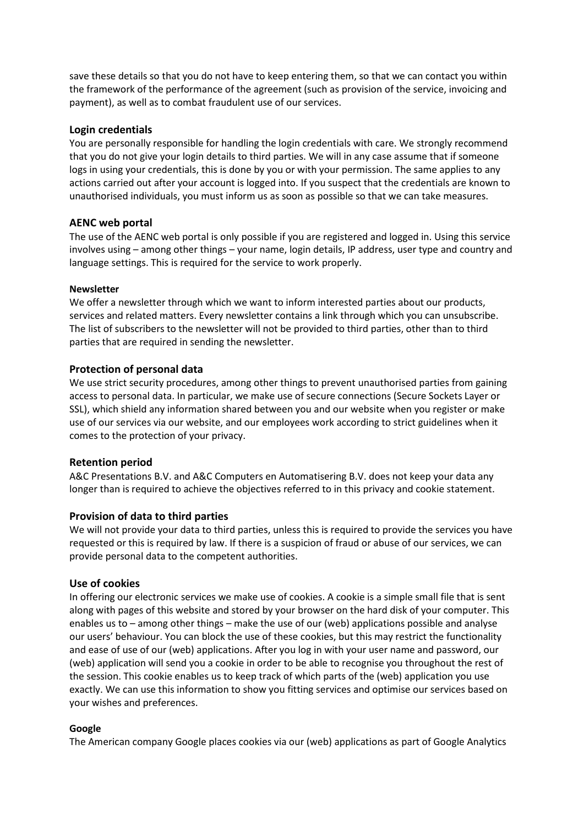save these details so that you do not have to keep entering them, so that we can contact you within the framework of the performance of the agreement (such as provision of the service, invoicing and payment), as well as to combat fraudulent use of our services.

## **Login credentials**

You are personally responsible for handling the login credentials with care. We strongly recommend that you do not give your login details to third parties. We will in any case assume that if someone logs in using your credentials, this is done by you or with your permission. The same applies to any actions carried out after your account is logged into. If you suspect that the credentials are known to unauthorised individuals, you must inform us as soon as possible so that we can take measures.

## **AENC web portal**

The use of the AENC web portal is only possible if you are registered and logged in. Using this service involves using – among other things – your name, login details, IP address, user type and country and language settings. This is required for the service to work properly.

## **Newsletter**

We offer a newsletter through which we want to inform interested parties about our products, services and related matters. Every newsletter contains a link through which you can unsubscribe. The list of subscribers to the newsletter will not be provided to third parties, other than to third parties that are required in sending the newsletter.

# **Protection of personal data**

We use strict security procedures, among other things to prevent unauthorised parties from gaining access to personal data. In particular, we make use of secure connections (Secure Sockets Layer or SSL), which shield any information shared between you and our website when you register or make use of our services via our website, and our employees work according to strict guidelines when it comes to the protection of your privacy.

## **Retention period**

A&C Presentations B.V. and A&C Computers en Automatisering B.V. does not keep your data any longer than is required to achieve the objectives referred to in this privacy and cookie statement.

## **Provision of data to third parties**

We will not provide your data to third parties, unless this is required to provide the services you have requested or this is required by law. If there is a suspicion of fraud or abuse of our services, we can provide personal data to the competent authorities.

## **Use of cookies**

In offering our electronic services we make use of cookies. A cookie is a simple small file that is sent along with pages of this website and stored by your browser on the hard disk of your computer. This enables us to – among other things – make the use of our (web) applications possible and analyse our users' behaviour. You can block the use of these cookies, but this may restrict the functionality and ease of use of our (web) applications. After you log in with your user name and password, our (web) application will send you a cookie in order to be able to recognise you throughout the rest of the session. This cookie enables us to keep track of which parts of the (web) application you use exactly. We can use this information to show you fitting services and optimise our services based on your wishes and preferences.

## **Google**

The American company Google places cookies via our (web) applications as part of Google Analytics